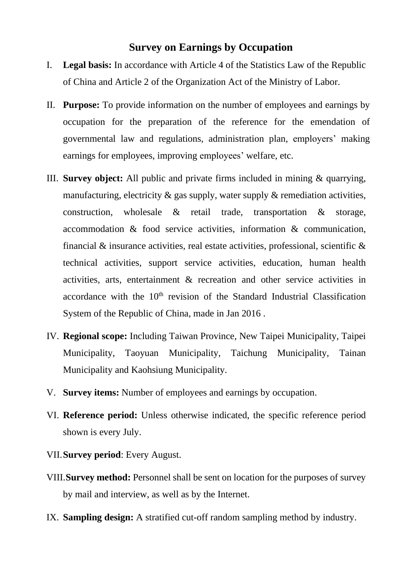## **Survey on Earnings by Occupation**

- I. **Legal basis:** In accordance with Article 4 of the Statistics Law of the Republic of China and Article 2 of the Organization Act of the Ministry of Labor.
- II. **Purpose:** To provide information on the number of employees and earnings by occupation for the preparation of the reference for the emendation of governmental law and regulations, administration plan, employers' making earnings for employees, improving employees' welfare, etc.
- III. **Survey object:** All public and private firms included in mining & quarrying, manufacturing, electricity  $\&$  gas supply, water supply  $\&$  remediation activities, construction, wholesale & retail trade, transportation & storage, accommodation & food service activities, information & communication, financial  $\&$  insurance activities, real estate activities, professional, scientific  $\&$ technical activities, support service activities, education, human health activities, arts, entertainment & recreation and other service activities in accordance with the  $10<sup>th</sup>$  revision of the Standard Industrial Classification System of the Republic of China, made in Jan 2016 .
- IV. **Regional scope:** Including Taiwan Province, New Taipei Municipality, Taipei Municipality, Taoyuan Municipality, Taichung Municipality, Tainan Municipality and Kaohsiung Municipality.
- V. **Survey items:** Number of employees and earnings by occupation.
- VI. **Reference period:** Unless otherwise indicated, the specific reference period shown is every July.
- VII.**Survey period**: Every August.
- VIII.**Survey method:** Personnel shall be sent on location for the purposes of survey by mail and interview, as well as by the Internet.
- IX. **Sampling design:** A stratified cut-off random sampling method by industry.